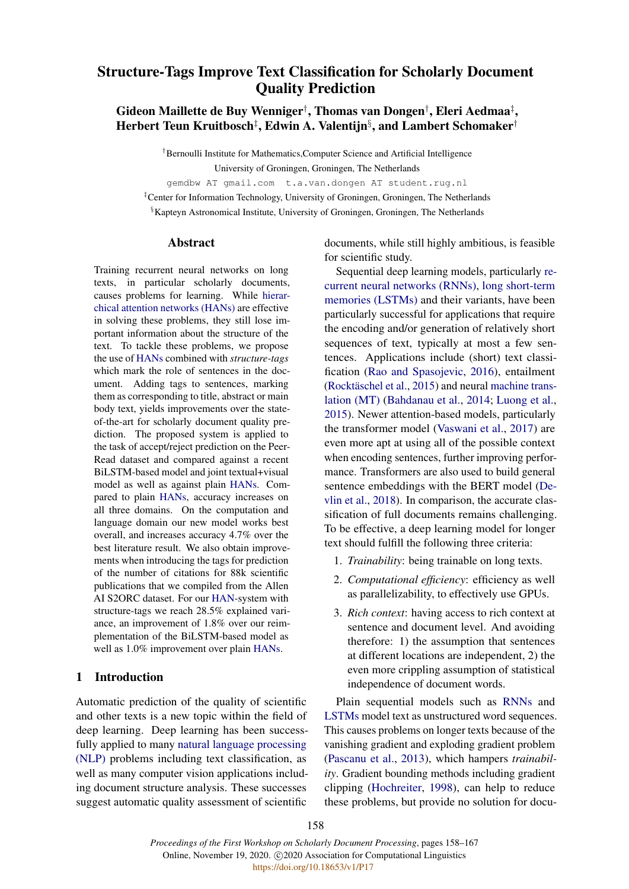# <span id="page-0-0"></span>Structure-Tags Improve Text Classification for Scholarly Document Quality Prediction

# Gideon Maillette de Buy Wenniger† , Thomas van Dongen† , Eleri Aedmaa‡ , Herbert Teun Kruitbosch‡ , Edwin A. Valentijn§ , and Lambert Schomaker†

†Bernoulli Institute for Mathematics,Computer Science and Artificial Intelligence University of Groningen, Groningen, The Netherlands

gemdbw AT gmail.com t.a.van.dongen AT student.rug.nl

‡Center for Information Technology, University of Groningen, Groningen, The Netherlands §Kapteyn Astronomical Institute, University of Groningen, Groningen, The Netherlands

### Abstract

Training recurrent neural networks on long texts, in particular scholarly documents, causes problems for learning. While hierarchical attention networks (HANs) are effective in solving these problems, they still lose important information about the structure of the text. To tackle these problems, we propose the use of HANs combined with *structure-tags* which mark the role of sentences in the document. Adding tags to sentences, marking them as corresponding to title, abstract or main body text, yields improvements over the stateof-the-art for scholarly document quality prediction. The proposed system is applied to the task of accept/reject prediction on the Peer-Read dataset and compared against a recent BiLSTM-based model and joint textual+visual model as well as against plain HANs. Compared to plain HANs, accuracy increases on all three domains. On the computation and language domain our new model works best overall, and increases accuracy 4.7% over the best literature result. We also obtain improvements when introducing the tags for prediction of the number of citations for 88k scientific publications that we compiled from the Allen AI S2ORC dataset. For our HAN-system with structure-tags we reach 28.5% explained variance, an improvement of 1.8% over our reimplementation of the BiLSTM-based model as well as 1.0% improvement over plain HANs.

# 1 Introduction

Automatic prediction of the quality of scientific and other texts is a new topic within the field of deep learning. Deep learning has been successfully applied to many natural language processing (NLP) problems including text classification, as well as many computer vision applications including document structure analysis. These successes suggest automatic quality assessment of scientific

documents, while still highly ambitious, is feasible for scientific study.

Sequential deep learning models, particularly recurrent neural networks (RNNs), long short-term memories (LSTMs) and their variants, have been particularly successful for applications that require the encoding and/or generation of relatively short sequences of text, typically at most a few sentences. Applications include (short) text classification [\(Rao and Spasojevic,](#page-9-0) [2016\)](#page-9-0), entailment [\(Rocktäschel et al.,](#page-9-1) [2015\)](#page-9-1) and neural machine translation (MT) [\(Bahdanau et al.,](#page-8-0) [2014;](#page-8-0) [Luong et al.,](#page-9-2) [2015\)](#page-9-2). Newer attention-based models, particularly the transformer model [\(Vaswani et al.,](#page-9-3) [2017\)](#page-9-3) are even more apt at using all of the possible context when encoding sentences, further improving performance. Transformers are also used to build general sentence embeddings with the BERT model [\(De](#page-8-1)[vlin et al.,](#page-8-1) [2018\)](#page-8-1). In comparison, the accurate classification of full documents remains challenging. To be effective, a deep learning model for longer text should fulfill the following three criteria:

- 1. *Trainability*: being trainable on long texts.
- 2. *Computational efficiency*: efficiency as well as parallelizability, to effectively use GPUs.
- 3. *Rich context*: having access to rich context at sentence and document level. And avoiding therefore: 1) the assumption that sentences at different locations are independent, 2) the even more crippling assumption of statistical independence of document words.

Plain sequential models such as RNNs and LSTMs model text as unstructured word sequences. This causes problems on longer texts because of the vanishing gradient and exploding gradient problem [\(Pascanu et al.,](#page-9-4) [2013\)](#page-9-4), which hampers *trainability*. Gradient bounding methods including gradient clipping [\(Hochreiter,](#page-9-5) [1998\)](#page-9-5), can help to reduce these problems, but provide no solution for docu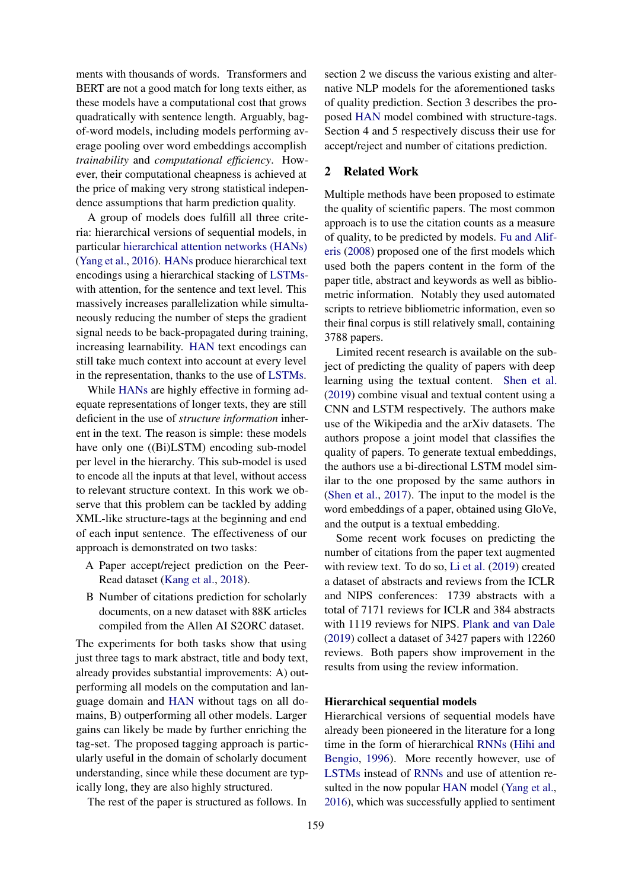ments with thousands of words. Transformers and BERT are not a good match for long texts either, as these models have a computational cost that grows quadratically with sentence length. Arguably, bagof-word models, including models performing average pooling over word embeddings accomplish *trainability* and *computational efficiency*. However, their computational cheapness is achieved at the price of making very strong statistical independence assumptions that harm prediction quality.

A group of models does fulfill all three criteria: hierarchical versions of sequential models, in particular [hierarchical attention networks \(HANs\)](#page-0-0) [\(Yang et al.,](#page-9-6) [2016\)](#page-9-6). [HANs](#page-0-0) produce hierarchical text encodings using a hierarchical stacking of [LSTMs](#page-0-0)with attention, for the sentence and text level. This massively increases parallelization while simultaneously reducing the number of steps the gradient signal needs to be back-propagated during training, increasing learnability. [HAN](#page-0-0) text encodings can still take much context into account at every level in the representation, thanks to the use of [LSTMs.](#page-0-0)

While [HANs](#page-0-0) are highly effective in forming adequate representations of longer texts, they are still deficient in the use of *structure information* inherent in the text. The reason is simple: these models have only one ((Bi)LSTM) encoding sub-model per level in the hierarchy. This sub-model is used to encode all the inputs at that level, without access to relevant structure context. In this work we observe that this problem can be tackled by adding XML-like structure-tags at the beginning and end of each input sentence. The effectiveness of our approach is demonstrated on two tasks:

- A Paper accept/reject prediction on the Peer-Read dataset [\(Kang et al.,](#page-9-7) [2018\)](#page-9-7).
- B Number of citations prediction for scholarly documents, on a new dataset with 88K articles compiled from the Allen AI S2ORC dataset.

The experiments for both tasks show that using just three tags to mark abstract, title and body text, already provides substantial improvements: A) outperforming all models on the computation and language domain and [HAN](#page-0-0) without tags on all domains, B) outperforming all other models. Larger gains can likely be made by further enriching the tag-set. The proposed tagging approach is particularly useful in the domain of scholarly document understanding, since while these document are typically long, they are also highly structured.

The rest of the paper is structured as follows. In

section 2 we discuss the various existing and alternative NLP models for the aforementioned tasks of quality prediction. Section 3 describes the proposed [HAN](#page-0-0) model combined with structure-tags. Section 4 and 5 respectively discuss their use for accept/reject and number of citations prediction.

# 2 Related Work

Multiple methods have been proposed to estimate the quality of scientific papers. The most common approach is to use the citation counts as a measure of quality, to be predicted by models. [Fu and Alif](#page-9-8)[eris](#page-9-8) [\(2008\)](#page-9-8) proposed one of the first models which used both the papers content in the form of the paper title, abstract and keywords as well as bibliometric information. Notably they used automated scripts to retrieve bibliometric information, even so their final corpus is still relatively small, containing 3788 papers.

Limited recent research is available on the subject of predicting the quality of papers with deep learning using the textual content. [Shen et al.](#page-9-9) [\(2019\)](#page-9-9) combine visual and textual content using a CNN and LSTM respectively. The authors make use of the Wikipedia and the arXiv datasets. The authors propose a joint model that classifies the quality of papers. To generate textual embeddings, the authors use a bi-directional LSTM model similar to the one proposed by the same authors in [\(Shen et al.,](#page-9-10) [2017\)](#page-9-10). The input to the model is the word embeddings of a paper, obtained using GloVe, and the output is a textual embedding.

Some recent work focuses on predicting the number of citations from the paper text augmented with review text. To do so, [Li et al.](#page-9-11) [\(2019\)](#page-9-11) created a dataset of abstracts and reviews from the ICLR and NIPS conferences: 1739 abstracts with a total of 7171 reviews for ICLR and 384 abstracts with 1119 reviews for NIPS. [Plank and van Dale](#page-9-12) [\(2019\)](#page-9-12) collect a dataset of 3427 papers with 12260 reviews. Both papers show improvement in the results from using the review information.

#### Hierarchical sequential models

Hierarchical versions of sequential models have already been pioneered in the literature for a long time in the form of hierarchical [RNNs](#page-0-0) [\(Hihi and](#page-9-13) [Bengio,](#page-9-13) [1996\)](#page-9-13). More recently however, use of [LSTMs](#page-0-0) instead of [RNNs](#page-0-0) and use of attention resulted in the now popular [HAN](#page-0-0) model [\(Yang et al.,](#page-9-6) [2016\)](#page-9-6), which was successfully applied to sentiment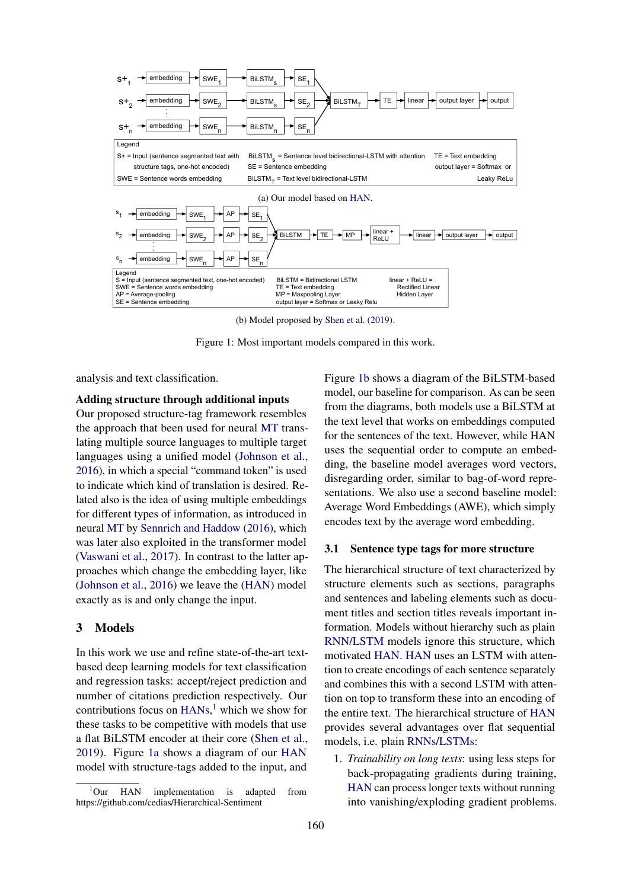<span id="page-2-1"></span>

(b) Model proposed by [Shen et al.](#page-9-9) [\(2019\)](#page-9-9).

Figure 1: Most important models compared in this work.

analysis and text classification.

## Adding structure through additional inputs

Our proposed structure-tag framework resembles the approach that been used for neural [MT](#page-0-0) translating multiple source languages to multiple target languages using a unified model [\(Johnson et al.,](#page-9-14) [2016\)](#page-9-14), in which a special "command token" is used to indicate which kind of translation is desired. Related also is the idea of using multiple embeddings for different types of information, as introduced in neural [MT](#page-0-0) by [Sennrich and Haddow](#page-9-15) [\(2016\)](#page-9-15), which was later also exploited in the transformer model [\(Vaswani et al.,](#page-9-3) [2017\)](#page-9-3). In contrast to the latter approaches which change the embedding layer, like [\(Johnson et al.,](#page-9-14) [2016\)](#page-9-14) we leave the [\(HAN\)](#page-0-0) model exactly as is and only change the input.

## 3 Models

In this work we use and refine state-of-the-art textbased deep learning models for text classification and regression tasks: accept/reject prediction and number of citations prediction respectively. Our contributions focus on [HANs,](#page-0-0) [1](#page-2-0) which we show for these tasks to be competitive with models that use a flat BiLSTM encoder at their core [\(Shen et al.,](#page-9-9) [2019\)](#page-9-9). Figure [1a](#page-2-1) shows a diagram of our [HAN](#page-0-0) model with structure-tags added to the input, and Figure [1b](#page-2-1) shows a diagram of the BiLSTM-based model, our baseline for comparison. As can be seen from the diagrams, both models use a BiLSTM at the text level that works on embeddings computed for the sentences of the text. However, while HAN uses the sequential order to compute an embedding, the baseline model averages word vectors, disregarding order, similar to bag-of-word representations. We also use a second baseline model: Average Word Embeddings (AWE), which simply encodes text by the average word embedding.

# 3.1 Sentence type tags for more structure

The hierarchical structure of text characterized by structure elements such as sections, paragraphs and sentences and labeling elements such as document titles and section titles reveals important information. Models without hierarchy such as plain [RNN/LSTM](#page-0-0) models ignore this structure, which motivated [HAN.](#page-0-0) [HAN](#page-0-0) uses an LSTM with attention to create encodings of each sentence separately and combines this with a second LSTM with attention on top to transform these into an encoding of the entire text. The hierarchical structure of [HAN](#page-0-0) provides several advantages over flat sequential models, i.e. plain [RNNs/LSTMs:](#page-0-0)

1. *Trainability on long texts*: using less steps for back-propagating gradients during training, [HAN](#page-0-0) can process longer texts without running into vanishing/exploding gradient problems.

<span id="page-2-0"></span><sup>&</sup>lt;sup>1</sup>Our HAN implementation is adapted from https://github.com/cedias/Hierarchical-Sentiment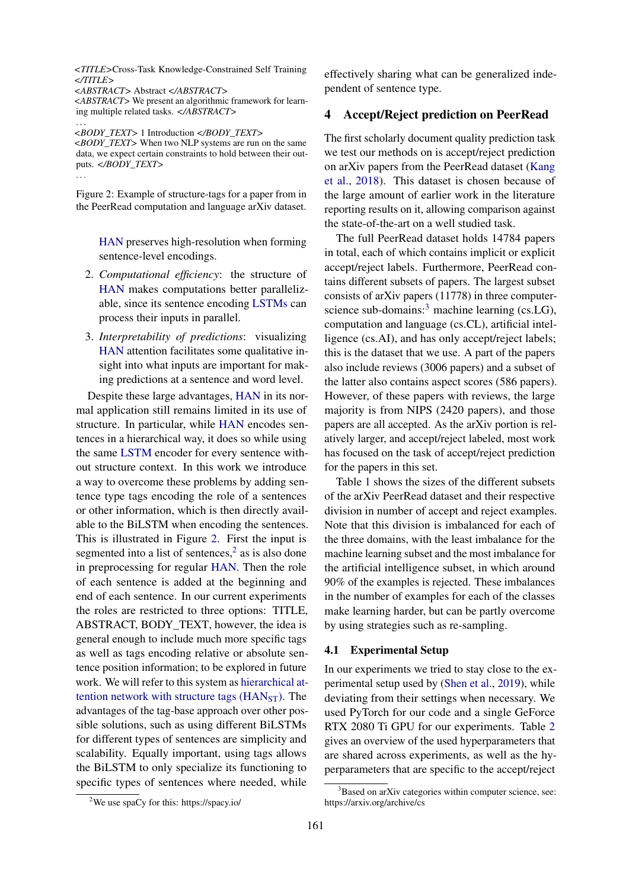<span id="page-3-0"></span>*<TITLE>*Cross-Task Knowledge-Constrained Self Training *</TITLE>*

*<ABSTRACT>* Abstract *</ABSTRACT> <ABSTRACT>* We present an algorithmic framework for learning multiple related tasks. *</ABSTRACT>* . . .

*<BODY\_TEXT>* 1 Introduction *</BODY\_TEXT> <BODY\_TEXT>* When two NLP systems are run on the same data, we expect certain constraints to hold between their outputs. *</BODY\_TEXT>*

. . .

Figure 2: Example of structure-tags for a paper from in the PeerRead computation and language arXiv dataset.

[HAN](#page-0-0) preserves high-resolution when forming sentence-level encodings.

- 2. *Computational efficiency*: the structure of [HAN](#page-0-0) makes computations better parallelizable, since its sentence encoding [LSTMs](#page-0-0) can process their inputs in parallel.
- 3. *Interpretability of predictions*: visualizing [HAN](#page-0-0) attention facilitates some qualitative insight into what inputs are important for making predictions at a sentence and word level.

Despite these large advantages, [HAN](#page-0-0) in its normal application still remains limited in its use of structure. In particular, while [HAN](#page-0-0) encodes sentences in a hierarchical way, it does so while using the same [LSTM](#page-0-0) encoder for every sentence without structure context. In this work we introduce a way to overcome these problems by adding sentence type tags encoding the role of a sentences or other information, which is then directly available to the BiLSTM when encoding the sentences. This is illustrated in Figure [2.](#page-3-0) First the input is segmented into a list of sentences, $2$  as is also done in preprocessing for regular [HAN.](#page-0-0) Then the role of each sentence is added at the beginning and end of each sentence. In our current experiments the roles are restricted to three options: TITLE, ABSTRACT, BODY\_TEXT, however, the idea is general enough to include much more specific tags as well as tags encoding relative or absolute sentence position information; to be explored in future work. We will refer to this system as [hierarchical at](#page-0-0)tention network with structure tags  $(HAN<sub>ST</sub>)$ . The advantages of the tag-base approach over other possible solutions, such as using different BiLSTMs for different types of sentences are simplicity and scalability. Equally important, using tags allows the BiLSTM to only specialize its functioning to specific types of sentences where needed, while

effectively sharing what can be generalized independent of sentence type.

# 4 Accept/Reject prediction on PeerRead

The first scholarly document quality prediction task we test our methods on is accept/reject prediction on arXiv papers from the PeerRead dataset [\(Kang](#page-9-7) [et al.,](#page-9-7) [2018\)](#page-9-7). This dataset is chosen because of the large amount of earlier work in the literature reporting results on it, allowing comparison against the state-of-the-art on a well studied task.

The full PeerRead dataset holds 14784 papers in total, each of which contains implicit or explicit accept/reject labels. Furthermore, PeerRead contains different subsets of papers. The largest subset consists of arXiv papers (11778) in three computer-science sub-domains:<sup>[3](#page-3-2)</sup> machine learning (cs.LG), computation and language (cs.CL), artificial intelligence (cs.AI), and has only accept/reject labels; this is the dataset that we use. A part of the papers also include reviews (3006 papers) and a subset of the latter also contains aspect scores (586 papers). However, of these papers with reviews, the large majority is from NIPS (2420 papers), and those papers are all accepted. As the arXiv portion is relatively larger, and accept/reject labeled, most work has focused on the task of accept/reject prediction for the papers in this set.

Table [1](#page-4-0) shows the sizes of the different subsets of the arXiv PeerRead dataset and their respective division in number of accept and reject examples. Note that this division is imbalanced for each of the three domains, with the least imbalance for the machine learning subset and the most imbalance for the artificial intelligence subset, in which around 90% of the examples is rejected. These imbalances in the number of examples for each of the classes make learning harder, but can be partly overcome by using strategies such as re-sampling.

### 4.1 Experimental Setup

In our experiments we tried to stay close to the experimental setup used by [\(Shen et al.,](#page-9-9) [2019\)](#page-9-9), while deviating from their settings when necessary. We used PyTorch for our code and a single GeForce RTX 2080 Ti GPU for our experiments. Table [2](#page-4-1) gives an overview of the used hyperparameters that are shared across experiments, as well as the hyperparameters that are specific to the accept/reject

<span id="page-3-1"></span><sup>2</sup>We use spaCy for this: https://spacy.io/

<span id="page-3-2"></span> $3B$ ased on arXiv categories within computer science, see: https://arxiv.org/archive/cs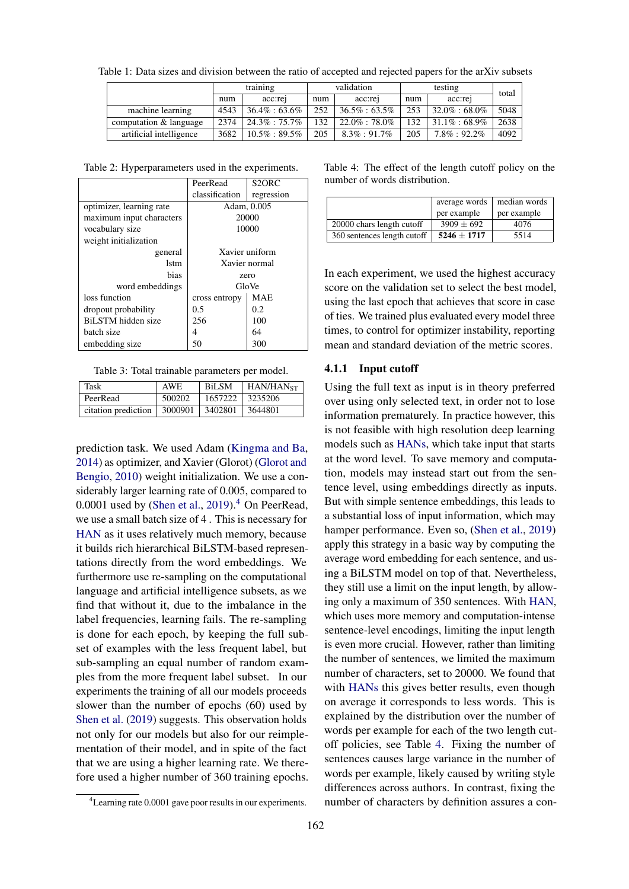<span id="page-4-0"></span>

|  |  | Table 1: Data sizes and division between the ratio of accepted and rejected papers for the arXiv subsets |  |  |  |  |  |  |
|--|--|----------------------------------------------------------------------------------------------------------|--|--|--|--|--|--|
|  |  |                                                                                                          |  |  |  |  |  |  |

|                         |      | training          |     | validation        |     | total             |      |
|-------------------------|------|-------------------|-----|-------------------|-----|-------------------|------|
|                         | num  | acc:re            | num | acc:re            | num | acc:rej           |      |
| machine learning        | 4543 | $36.4\% : 63.6\%$ | 252 | $36.5\% : 63.5\%$ | 253 | $32.0\% : 68.0\%$ | 5048 |
| computation & language  | 2374 | $24.3\% : 75.7\%$ | 132 | $22.0\% : 78.0\%$ | 132 | $31.1\% : 68.9\%$ | 2638 |
| artificial intelligence | 3682 | $10.5\% : 89.5\%$ | 205 | $8.3\% : 91.7\%$  | 205 | $7.8\%:92.2\%$    | 4092 |

<span id="page-4-1"></span>Table 2: Hyperparameters used in the experiments.

|                          | PeerRead       | S2ORC          |  |  |  |
|--------------------------|----------------|----------------|--|--|--|
|                          | classification | regression     |  |  |  |
| optimizer, learning rate | Adam, 0.005    |                |  |  |  |
| maximum input characters |                | 20000          |  |  |  |
| vocabulary size          |                | 10000          |  |  |  |
| weight initialization    |                |                |  |  |  |
| general                  |                | Xavier uniform |  |  |  |
| 1stm                     | Xavier normal  |                |  |  |  |
| bias                     | zero           |                |  |  |  |
| word embeddings          | GloVe          |                |  |  |  |
| loss function            | cross entropy  | <b>MAE</b>     |  |  |  |
| dropout probability      | 0.5            | 0.2            |  |  |  |
| BiLSTM hidden size       | 256            | 100            |  |  |  |
| batch size               | 4              | 64             |  |  |  |
| embedding size           | 50             | 300            |  |  |  |

Table 3: Total trainable parameters per model.

| <b>Task</b>         | <b>AWE</b> | <b>BiLSM</b> | HAN/HAN <sub>ST</sub> |
|---------------------|------------|--------------|-----------------------|
| PeerRead            | 500202     | 1657222      | 3235206               |
| citation prediction | 3000901    | 3402801      | 3644801               |

prediction task. We used Adam [\(Kingma and Ba,](#page-9-16) [2014\)](#page-9-16) as optimizer, and Xavier (Glorot) [\(Glorot and](#page-9-17) [Bengio,](#page-9-17) [2010\)](#page-9-17) weight initialization. We use a considerably larger learning rate of 0.005, compared to  $0.0001$  used by [\(Shen et al.,](#page-9-9) [2019\)](#page-9-9).<sup>[4](#page-4-2)</sup> On PeerRead, we use a small batch size of 4 . This is necessary for [HAN](#page-0-0) as it uses relatively much memory, because it builds rich hierarchical BiLSTM-based representations directly from the word embeddings. We furthermore use re-sampling on the computational language and artificial intelligence subsets, as we find that without it, due to the imbalance in the label frequencies, learning fails. The re-sampling is done for each epoch, by keeping the full subset of examples with the less frequent label, but sub-sampling an equal number of random examples from the more frequent label subset. In our experiments the training of all our models proceeds slower than the number of epochs (60) used by [Shen et al.](#page-9-9) [\(2019\)](#page-9-9) suggests. This observation holds not only for our models but also for our reimplementation of their model, and in spite of the fact that we are using a higher learning rate. We therefore used a higher number of 360 training epochs. <span id="page-4-3"></span>Table 4: The effect of the length cutoff policy on the number of words distribution.

|                             | average words  | median words |
|-----------------------------|----------------|--------------|
|                             | per example    | per example  |
| 20000 chars length cutoff   | $3909 \pm 692$ | 4076         |
| 360 sentences length cutoff | $5246 + 1717$  | 5514         |

In each experiment, we used the highest accuracy score on the validation set to select the best model, using the last epoch that achieves that score in case of ties. We trained plus evaluated every model three times, to control for optimizer instability, reporting mean and standard deviation of the metric scores.

#### 4.1.1 Input cutoff

Using the full text as input is in theory preferred over using only selected text, in order not to lose information prematurely. In practice however, this is not feasible with high resolution deep learning models such as [HANs,](#page-0-0) which take input that starts at the word level. To save memory and computation, models may instead start out from the sentence level, using embeddings directly as inputs. But with simple sentence embeddings, this leads to a substantial loss of input information, which may hamper performance. Even so, [\(Shen et al.,](#page-9-9) [2019\)](#page-9-9) apply this strategy in a basic way by computing the average word embedding for each sentence, and using a BiLSTM model on top of that. Nevertheless, they still use a limit on the input length, by allowing only a maximum of 350 sentences. With [HAN,](#page-0-0) which uses more memory and computation-intense sentence-level encodings, limiting the input length is even more crucial. However, rather than limiting the number of sentences, we limited the maximum number of characters, set to 20000. We found that with [HANs](#page-0-0) this gives better results, even though on average it corresponds to less words. This is explained by the distribution over the number of words per example for each of the two length cutoff policies, see Table [4.](#page-4-3) Fixing the number of sentences causes large variance in the number of words per example, likely caused by writing style differences across authors. In contrast, fixing the number of characters by definition assures a con-

<span id="page-4-2"></span><sup>4</sup>Learning rate 0.0001 gave poor results in our experiments.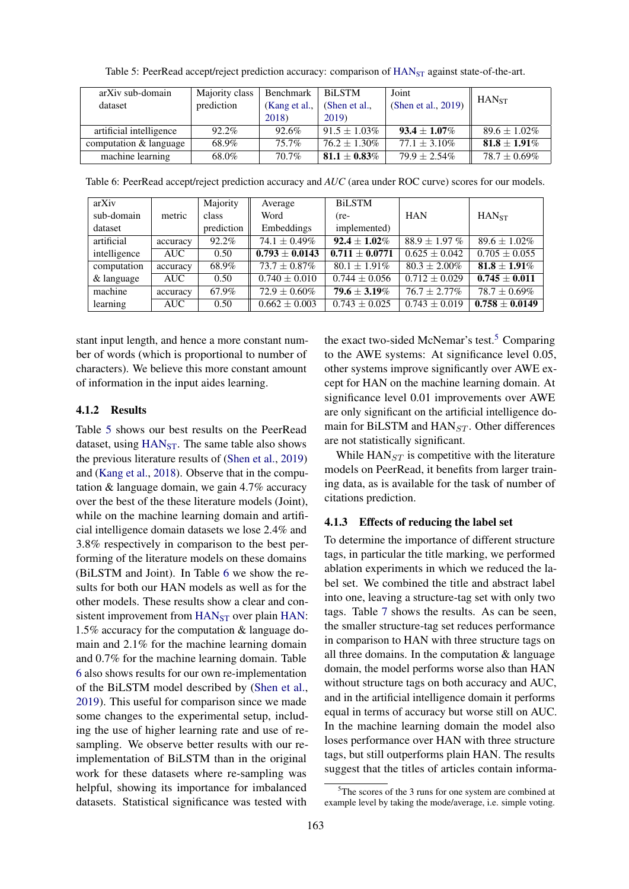<span id="page-5-0"></span>

| arXiv sub-domain        | Majority class | Benchmark     | <b>BiLSTM</b>     | Joint                                           | HAN <sub>ST</sub> |
|-------------------------|----------------|---------------|-------------------|-------------------------------------------------|-------------------|
| dataset                 | prediction     | (Kang et al., | (Shen et al.,     | <sup><math>\pm</math></sup> (Shen et al., 2019) |                   |
|                         |                | 2018)         | 2019)             |                                                 |                   |
| artificial intelligence | 92.2%          | 92.6%         | $91.5 + 1.03\%$   | $93.4 + 1.07\%$                                 | $89.6 + 1.02\%$   |
| computation & language  | 68.9%          | 75.7%         | $76.2 \pm 1.30\%$ | $77.1 + 3.10\%$                                 | $81.8 \pm 1.91\%$ |
| machine learning        | 68.0%          | 70.7%         | $81.1 + 0.83\%$   | $79.9 \pm 2.54\%$                               | $78.7 \pm 0.69\%$ |

Table 5: PeerRead accept/reject prediction accuracy: comparison of [HAN](#page-0-0)<sub>ST</sub> against state-of-the-art.

<span id="page-5-1"></span>Table 6: PeerRead accept/reject prediction accuracy and *AUC* (area under ROC curve) scores for our models.

| arXiv        |          | Majority   | Average           | <b>BiLSTM</b>     |                   |                   |
|--------------|----------|------------|-------------------|-------------------|-------------------|-------------------|
| sub-domain   | metric   | class      | Word              | $(re-$            | <b>HAN</b>        | HAN <sub>ST</sub> |
| dataset      |          | prediction | Embeddings        | implemented)      |                   |                   |
| artificial   | accuracy | 92.2%      | $74.1 \pm 0.49\%$ | $92.4 + 1.02\%$   | $88.9 + 1.97\%$   | $89.6 \pm 1.02\%$ |
| intelligence | AUC      | 0.50       | $0.793 + 0.0143$  | $0.711 + 0.0771$  | $0.625 + 0.042$   | $0.705 \pm 0.055$ |
| computation  | accuracy | 68.9%      | $73.7 \pm 0.87\%$ | $80.1 + 1.91\%$   | $80.3 \pm 2.00\%$ | $81.8 + 1.91\%$   |
| & language   | AUC      | 0.50       | $0.740 \pm 0.010$ | $0.744 \pm 0.056$ | $0.712 + 0.029$   | $0.745 + 0.011$   |
| machine      | accuracy | 67.9%      | $72.9 \pm 0.60\%$ | $79.6 \pm 3.19\%$ | $76.7 + 2.77\%$   | $78.7 + 0.69\%$   |
| learning     | AUC      | 0.50       | $0.662 + 0.003$   | $0.743 + 0.025$   | $0.743 + 0.019$   | $0.758 + 0.0149$  |

stant input length, and hence a more constant number of words (which is proportional to number of characters). We believe this more constant amount of information in the input aides learning.

# 4.1.2 Results

Table [5](#page-5-0) shows our best results on the PeerRead dataset, using  $HAN<sub>ST</sub>$  $HAN<sub>ST</sub>$ . The same table also shows the previous literature results of [\(Shen et al.,](#page-9-9) [2019\)](#page-9-9) and [\(Kang et al.,](#page-9-7) [2018\)](#page-9-7). Observe that in the computation & language domain, we gain 4.7% accuracy over the best of the these literature models (Joint), while on the machine learning domain and artificial intelligence domain datasets we lose 2.4% and 3.8% respectively in comparison to the best performing of the literature models on these domains (BiLSTM and Joint). In Table [6](#page-5-1) we show the results for both our HAN models as well as for the other models. These results show a clear and con-sistent improvement from [HAN](#page-0-0)<sub>ST</sub> over plain [HAN:](#page-0-0) 1.5% accuracy for the computation & language domain and 2.1% for the machine learning domain and 0.7% for the machine learning domain. Table [6](#page-5-1) also shows results for our own re-implementation of the BiLSTM model described by [\(Shen et al.,](#page-9-9) [2019\)](#page-9-9). This useful for comparison since we made some changes to the experimental setup, including the use of higher learning rate and use of resampling. We observe better results with our reimplementation of BiLSTM than in the original work for these datasets where re-sampling was helpful, showing its importance for imbalanced datasets. Statistical significance was tested with

the exact two-sided McNemar's test.<sup>[5](#page-5-2)</sup> Comparing to the AWE systems: At significance level 0.05, other systems improve significantly over AWE except for HAN on the machine learning domain. At significance level 0.01 improvements over AWE are only significant on the artificial intelligence domain for BiLSTM and  $HAN_{ST}$ . Other differences are not statistically significant.

While  $HAN_{ST}$  is competitive with the literature models on PeerRead, it benefits from larger training data, as is available for the task of number of citations prediction.

# 4.1.3 Effects of reducing the label set

To determine the importance of different structure tags, in particular the title marking, we performed ablation experiments in which we reduced the label set. We combined the title and abstract label into one, leaving a structure-tag set with only two tags. Table [7](#page-6-0) shows the results. As can be seen, the smaller structure-tag set reduces performance in comparison to HAN with three structure tags on all three domains. In the computation  $\&$  language domain, the model performs worse also than HAN without structure tags on both accuracy and AUC, and in the artificial intelligence domain it performs equal in terms of accuracy but worse still on AUC. In the machine learning domain the model also loses performance over HAN with three structure tags, but still outperforms plain HAN. The results suggest that the titles of articles contain informa-

<span id="page-5-2"></span> $5$ The scores of the 3 runs for one system are combined at example level by taking the mode/average, i.e. simple voting.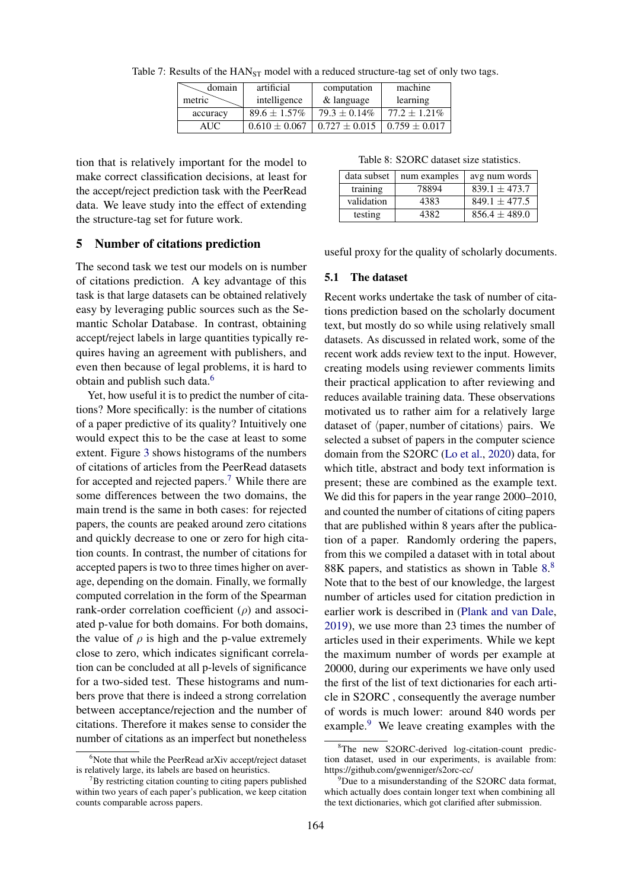| domain   | artificial        | computation       | machine           |
|----------|-------------------|-------------------|-------------------|
| metric   | intelligence      | & language        | learning          |
| accuracy | $89.6 \pm 1.57\%$ | $79.3 \pm 0.14\%$ | $77.2 \pm 1.21\%$ |
| AUC.     | $0.610 + 0.067$   | $0.727 + 0.015$   | $0.759 + 0.017$   |

<span id="page-6-0"></span>Table 7: Results of the  $HAN_{ST}$  model with a reduced structure-tag set of only two tags.

tion that is relatively important for the model to make correct classification decisions, at least for the accept/reject prediction task with the PeerRead data. We leave study into the effect of extending the structure-tag set for future work.

# 5 Number of citations prediction

The second task we test our models on is number of citations prediction. A key advantage of this task is that large datasets can be obtained relatively easy by leveraging public sources such as the Semantic Scholar Database. In contrast, obtaining accept/reject labels in large quantities typically requires having an agreement with publishers, and even then because of legal problems, it is hard to obtain and publish such data.<sup>[6](#page-6-1)</sup>

Yet, how useful it is to predict the number of citations? More specifically: is the number of citations of a paper predictive of its quality? Intuitively one would expect this to be the case at least to some extent. Figure [3](#page-7-0) shows histograms of the numbers of citations of articles from the PeerRead datasets for accepted and rejected papers.[7](#page-6-2) While there are some differences between the two domains, the main trend is the same in both cases: for rejected papers, the counts are peaked around zero citations and quickly decrease to one or zero for high citation counts. In contrast, the number of citations for accepted papers is two to three times higher on average, depending on the domain. Finally, we formally computed correlation in the form of the Spearman rank-order correlation coefficient  $(\rho)$  and associated p-value for both domains. For both domains, the value of  $\rho$  is high and the p-value extremely close to zero, which indicates significant correlation can be concluded at all p-levels of significance for a two-sided test. These histograms and numbers prove that there is indeed a strong correlation between acceptance/rejection and the number of citations. Therefore it makes sense to consider the number of citations as an imperfect but nonetheless

Table 8: S2ORC dataset size statistics.

<span id="page-6-3"></span>

| data subset | num examples | avg num words     |
|-------------|--------------|-------------------|
| training    | 78894        | $839.1 + 473.7$   |
| validation  | 4383         | $849.1 + 477.5$   |
| testing     | 4382         | $856.4 \pm 489.0$ |

useful proxy for the quality of scholarly documents.

## 5.1 The dataset

Recent works undertake the task of number of citations prediction based on the scholarly document text, but mostly do so while using relatively small datasets. As discussed in related work, some of the recent work adds review text to the input. However, creating models using reviewer comments limits their practical application to after reviewing and reduces available training data. These observations motivated us to rather aim for a relatively large dataset of  $\langle$  paper, number of citations $\rangle$  pairs. We selected a subset of papers in the computer science domain from the S2ORC [\(Lo et al.,](#page-9-18) [2020\)](#page-9-18) data, for which title, abstract and body text information is present; these are combined as the example text. We did this for papers in the year range 2000–2010, and counted the number of citations of citing papers that are published within 8 years after the publication of a paper. Randomly ordering the papers, from this we compiled a dataset with in total about [8](#page-6-4)8K papers, and statistics as shown in Table  $8.8$  $8.8$ Note that to the best of our knowledge, the largest number of articles used for citation prediction in earlier work is described in [\(Plank and van Dale,](#page-9-12) [2019\)](#page-9-12), we use more than 23 times the number of articles used in their experiments. While we kept the maximum number of words per example at 20000, during our experiments we have only used the first of the list of text dictionaries for each article in S2ORC , consequently the average number of words is much lower: around 840 words per example. $9$  We leave creating examples with the

<span id="page-6-1"></span><sup>&</sup>lt;sup>6</sup>Note that while the PeerRead arXiv accept/reject dataset is relatively large, its labels are based on heuristics.

<span id="page-6-2"></span> $7By$  restricting citation counting to citing papers published within two years of each paper's publication, we keep citation counts comparable across papers.

<span id="page-6-4"></span><sup>8</sup>The new S2ORC-derived log-citation-count prediction dataset, used in our experiments, is available from: https://github.com/gwenniger/s2orc-cc/

<span id="page-6-5"></span> $9^9$ Due to a misunderstanding of the S2ORC data format, which actually does contain longer text when combining all the text dictionaries, which got clarified after submission.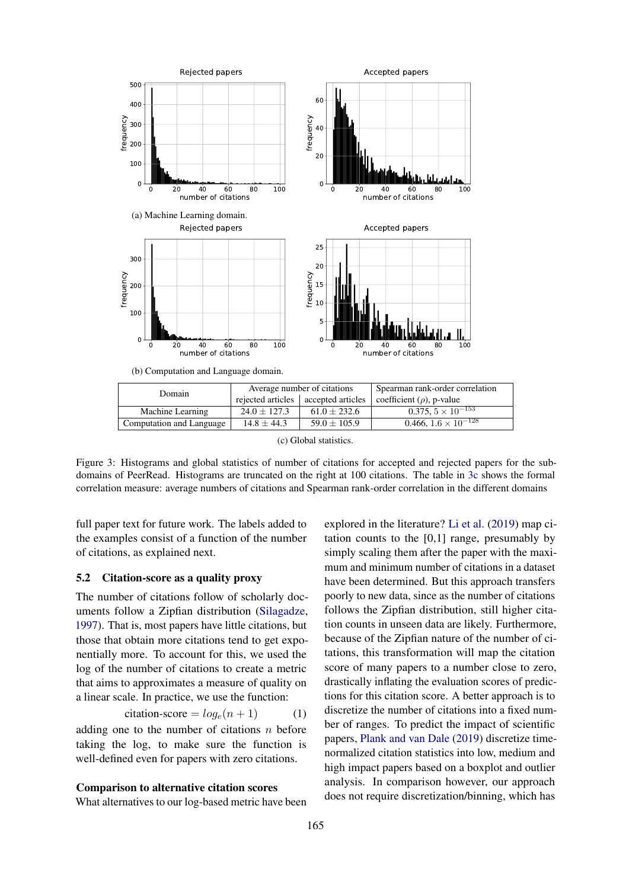<span id="page-7-0"></span>

(c) Global statistics.

Figure 3: Histograms and global statistics of number of citations for accepted and rejected papers for the subdomains of PeerRead. Histograms are truncated on the right at 100 citations. The table in [3c](#page-7-0) shows the formal correlation measure: average numbers of citations and Spearman rank-order correlation in the different domains

full paper text for future work. The labels added to the examples consist of a function of the number of citations, as explained next.

## 5.2 Citation-score as a quality proxy

The number of citations follow of scholarly documents follow a Zipfian distribution [\(Silagadze,](#page-9-19) [1997\)](#page-9-19). That is, most papers have little citations, but those that obtain more citations tend to get exponentially more. To account for this, we used the log of the number of citations to create a metric that aims to approximates a measure of quality on a linear scale. In practice, we use the function:

$$
citation-score = log_e(n + 1)
$$
 (1)

adding one to the number of citations  $n$  before taking the log, to make sure the function is well-defined even for papers with zero citations.

#### Comparison to alternative citation scores

What alternatives to our log-based metric have been

explored in the literature? [Li et al.](#page-9-11) [\(2019\)](#page-9-11) map citation counts to the [0,1] range, presumably by simply scaling them after the paper with the maximum and minimum number of citations in a dataset have been determined. But this approach transfers poorly to new data, since as the number of citations follows the Zipfian distribution, still higher citation counts in unseen data are likely. Furthermore, because of the Zipfian nature of the number of citations, this transformation will map the citation score of many papers to a number close to zero, drastically inflating the evaluation scores of predictions for this citation score. A better approach is to discretize the number of citations into a fixed number of ranges. To predict the impact of scientific papers, [Plank and van Dale](#page-9-12) [\(2019\)](#page-9-12) discretize timenormalized citation statistics into low, medium and high impact papers based on a boxplot and outlier analysis. In comparison however, our approach does not require discretization/binning, which has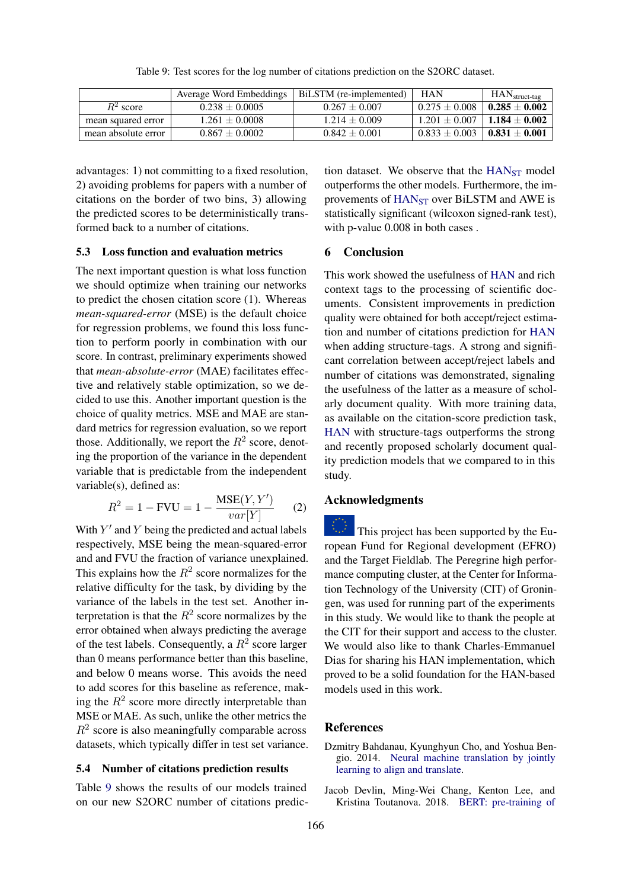<span id="page-8-2"></span>

|                     | Average Word Embeddings | BiLSTM (re-implemented) | HAN             | $HANstruct-tag$ |
|---------------------|-------------------------|-------------------------|-----------------|-----------------|
| $R^2$ score         | $0.238 + 0.0005$        | $0.267 + 0.007$         | $0.275 + 0.008$ | $0.285 + 0.002$ |
| mean squared error  | $1.261 + 0.0008$        | $1.214 + 0.009$         | $1.201 + 0.007$ | $1.184 + 0.002$ |
| mean absolute error | $0.867 + 0.0002$        | $0.842 \pm 0.001$       | $0.833 + 0.003$ | $0.831 + 0.001$ |

Table 9: Test scores for the log number of citations prediction on the S2ORC dataset.

advantages: 1) not committing to a fixed resolution, 2) avoiding problems for papers with a number of citations on the border of two bins, 3) allowing the predicted scores to be deterministically transformed back to a number of citations.

### 5.3 Loss function and evaluation metrics

The next important question is what loss function we should optimize when training our networks to predict the chosen citation score (1). Whereas *mean-squared-error* (MSE) is the default choice for regression problems, we found this loss function to perform poorly in combination with our score. In contrast, preliminary experiments showed that *mean-absolute-error* (MAE) facilitates effective and relatively stable optimization, so we decided to use this. Another important question is the choice of quality metrics. MSE and MAE are standard metrics for regression evaluation, so we report those. Additionally, we report the  $R^2$  score, denoting the proportion of the variance in the dependent variable that is predictable from the independent variable(s), defined as:

$$
R^{2} = 1 - FVU = 1 - \frac{\text{MSE}(Y, Y')}{var[Y]} \tag{2}
$$

With  $Y'$  and  $Y$  being the predicted and actual labels respectively, MSE being the mean-squared-error and and FVU the fraction of variance unexplained. This explains how the  $R^2$  score normalizes for the relative difficulty for the task, by dividing by the variance of the labels in the test set. Another interpretation is that the  $R^2$  score normalizes by the error obtained when always predicting the average of the test labels. Consequently, a  $R^2$  score larger than 0 means performance better than this baseline, and below 0 means worse. This avoids the need to add scores for this baseline as reference, making the  $R^2$  score more directly interpretable than MSE or MAE. As such, unlike the other metrics the  $R<sup>2</sup>$  score is also meaningfully comparable across datasets, which typically differ in test set variance.

# 5.4 Number of citations prediction results

Table [9](#page-8-2) shows the results of our models trained on our new S2ORC number of citations predic-

tion dataset. We observe that the  $HAN_{ST}$  $HAN_{ST}$  model outperforms the other models. Furthermore, the im-provements of [HAN](#page-0-0)<sub>ST</sub> over BiLSTM and AWE is statistically significant (wilcoxon signed-rank test), with p-value  $0.008$  in both cases.

# 6 Conclusion

This work showed the usefulness of [HAN](#page-0-0) and rich context tags to the processing of scientific documents. Consistent improvements in prediction quality were obtained for both accept/reject estimation and number of citations prediction for [HAN](#page-0-0) when adding structure-tags. A strong and significant correlation between accept/reject labels and number of citations was demonstrated, signaling the usefulness of the latter as a measure of scholarly document quality. With more training data, as available on the citation-score prediction task, [HAN](#page-0-0) with structure-tags outperforms the strong and recently proposed scholarly document quality prediction models that we compared to in this study.

# Acknowledgments

This project has been supported by the European Fund for Regional development (EFRO) and the Target Fieldlab. The Peregrine high performance computing cluster, at the Center for Information Technology of the University (CIT) of Groningen, was used for running part of the experiments in this study. We would like to thank the people at the CIT for their support and access to the cluster. We would also like to thank Charles-Emmanuel Dias for sharing his HAN implementation, which proved to be a solid foundation for the HAN-based models used in this work.

#### References

- <span id="page-8-0"></span>Dzmitry Bahdanau, Kyunghyun Cho, and Yoshua Bengio. 2014. [Neural machine translation by jointly](http://arxiv.org/abs/1409.0473) [learning to align and translate.](http://arxiv.org/abs/1409.0473)
- <span id="page-8-1"></span>Jacob Devlin, Ming-Wei Chang, Kenton Lee, and Kristina Toutanova. 2018. [BERT: pre-training of](http://arxiv.org/abs/1810.04805)